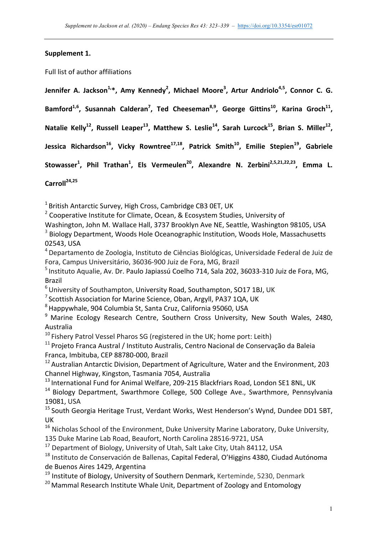## Supplement 1.

Full list of author affiliations

Jennifer A. Jackson<sup>1,</sup>\*, Amy Kennedy<sup>2</sup>, Michael Moore<sup>3</sup>, Artur Andriolo<sup>4,5</sup>, Connor C. G. Bamford<sup>1,6</sup>, Susannah Calderan<sup>7</sup>, Ted Cheeseman<sup>8,9</sup>, George Gittins<sup>10</sup>, Karina Groch<sup>11</sup>, Natalie Kelly<sup>12</sup>, Russell Leaper<sup>13</sup>, Matthew S. Leslie<sup>14</sup>, Sarah Lurcock<sup>15</sup>, Brian S. Miller<sup>12</sup>, Jessica Richardson<sup>16</sup>, Vicky Rowntree<sup>17,18</sup>, Patrick Smith<sup>10</sup>, Emilie Stepien<sup>19</sup>, Gabriele Stowasser<sup>1</sup>, Phil Trathan<sup>1</sup>, Els Vermeulen<sup>20</sup>, Alexandre N. Zerbini<sup>2,5,21,22,23</sup>, Emma L.

**Carroll24,25**

 $1$ British Antarctic Survey, High Cross, Cambridge CB3 0ET, UK

 $2$  Cooperative Institute for Climate, Ocean, & Ecosystem Studies, University of

Washington, John M. Wallace Hall, 3737 Brooklyn Ave NE, Seattle, Washington 98105, USA  $3$  Biology Department, Woods Hole Oceanographic Institution, Woods Hole, Massachusetts 02543, USA

<sup>4</sup> Departamento de Zoologia, Instituto de Ciências Biológicas, Universidade Federal de Juiz de Fora, Campus Universitário, 36036-900 Juiz de Fora, MG, Brazil

 $<sup>5</sup>$  Instituto Aqualie, Av. Dr. Paulo Japiassú Coelho 714, Sala 202, 36033-310 Juiz de Fora, MG,</sup> Brazil

 $6$ University of Southampton, University Road, Southampton, SO17 1BJ, UK

 $7$  Scottish Association for Marine Science, Oban, Argyll, PA37 1QA, UK

 $8$  Happywhale, 904 Columbia St, Santa Cruz, California 95060, USA

 $9$  Marine Ecology Research Centre, Southern Cross University, New South Wales, 2480, Australia

 $10$  Fishery Patrol Vessel Pharos SG (registered in the UK; home port: Leith)

 $11$  Projeto Franca Austral / Instituto Australis, Centro Nacional de Conservação da Baleia Franca, Imbituba, CEP 88780-000, Brazil

 $12$  Australian Antarctic Division, Department of Agriculture, Water and the Environment, 203 Channel Highway, Kingston, Tasmania 7054, Australia

 $13$  International Fund for Animal Welfare, 209-215 Blackfriars Road, London SE1 8NL, UK

 $14$  Biology Department, Swarthmore College, 500 College Ave., Swarthmore, Pennsylvania 19081, USA

 $15$  South Georgia Heritage Trust, Verdant Works, West Henderson's Wynd, Dundee DD1 5BT, UK

 $16$  Nicholas School of the Environment, Duke University Marine Laboratory, Duke University, 135 Duke Marine Lab Road, Beaufort, North Carolina 28516-9721, USA

 $17$  Department of Biology, University of Utah, Salt Lake City, Utah 84112, USA

 $18$  Instituto de Conservación de Ballenas, Capital Federal, O'Higgins 4380, Ciudad Autónoma de Buenos Aires 1429, Argentina

 $19$  Institute of Biology, University of Southern Denmark, Kerteminde, 5230, Denmark

 $20$  Mammal Research Institute Whale Unit, Department of Zoology and Entomology